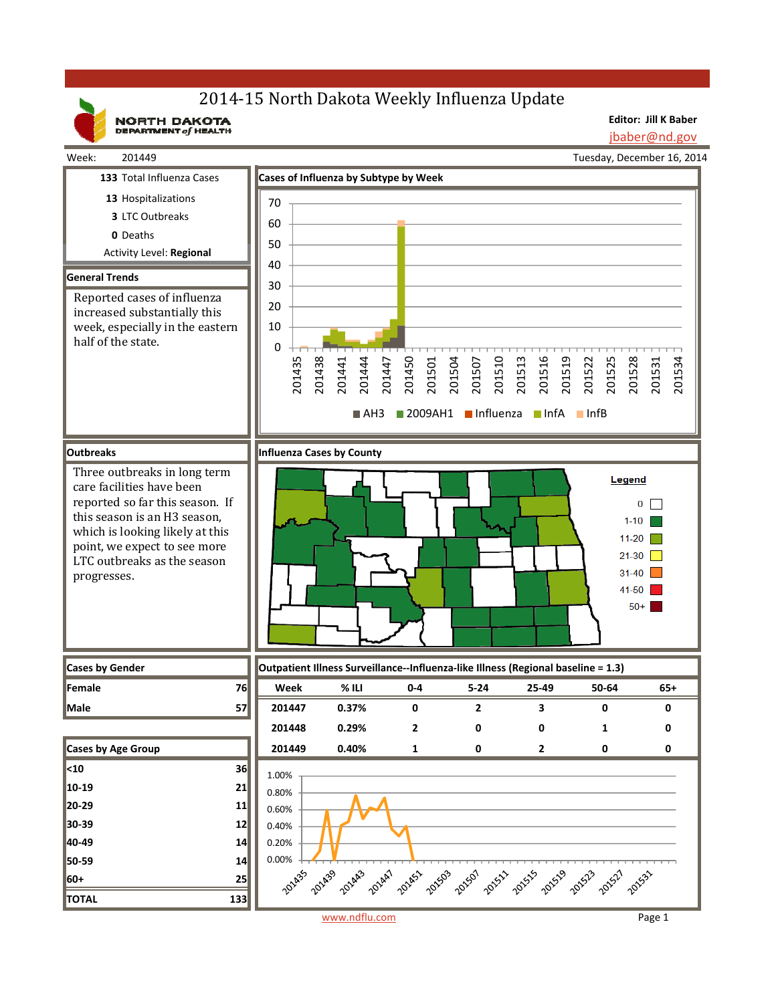# 2014-15 North Dakota Weekly Influenza Update

NORTH DAKOTA

**Editor: Jill K Baber**

jbaber@nd.gov



www.ndflu.com Page 1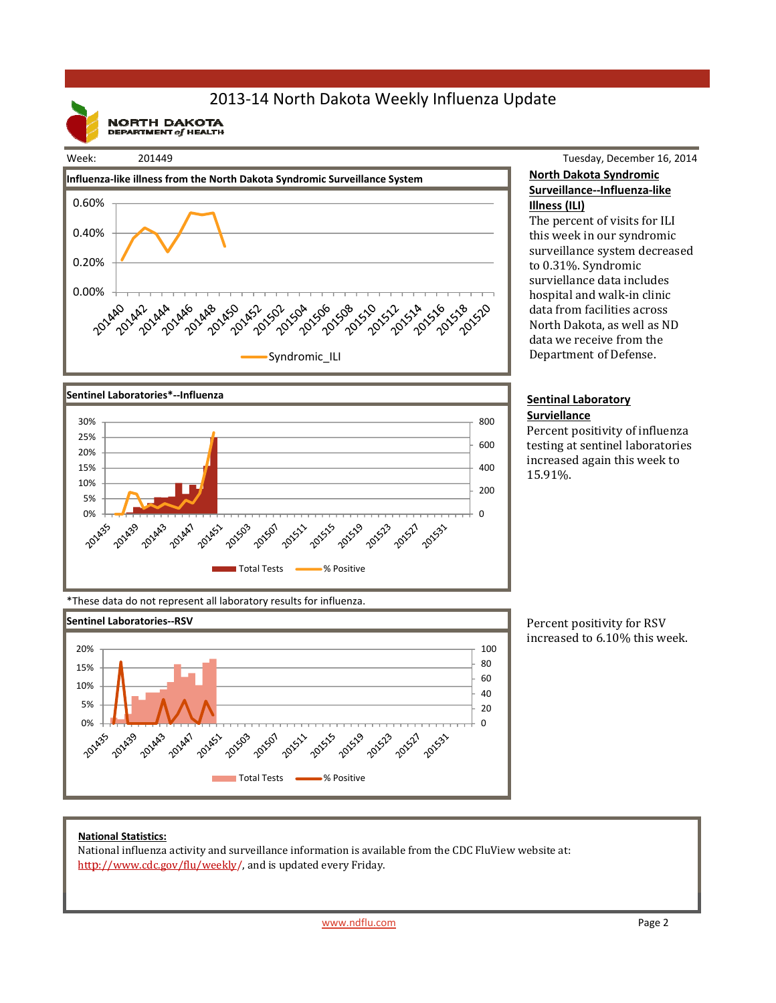## 2013‐14 North Dakota Weekly Influenza Update

**NORTH DAKOTA**<br>DEPARTMENT of HEALTH



Tuesday, December 16, 2014 **North Dakota Syndromic Surveillance‐‐Influenza‐like Illness (ILI)**

The percent of visits for ILI this week in our syndromic surveillance system decreased to 0.31%. Syndromic surviellance data includes hospital and walk-in clinic data from facilities across North Dakota, as well as ND data we receive from the Department of Defense.

#### **Sentinal Laboratory Surviellance**

Percent positivity of influenza testing at sentinel laboratories increased again this week to 15.91%. 



\*These data do not represent all laboratory results for influenza.



Percent positivity for RSV increased to 6.10% this week.

### **National Statistics:**

National influenza activity and surveillance information is available from the CDC FluView website at: http://www.cdc.gov/flu/weekly/, and is updated every Friday.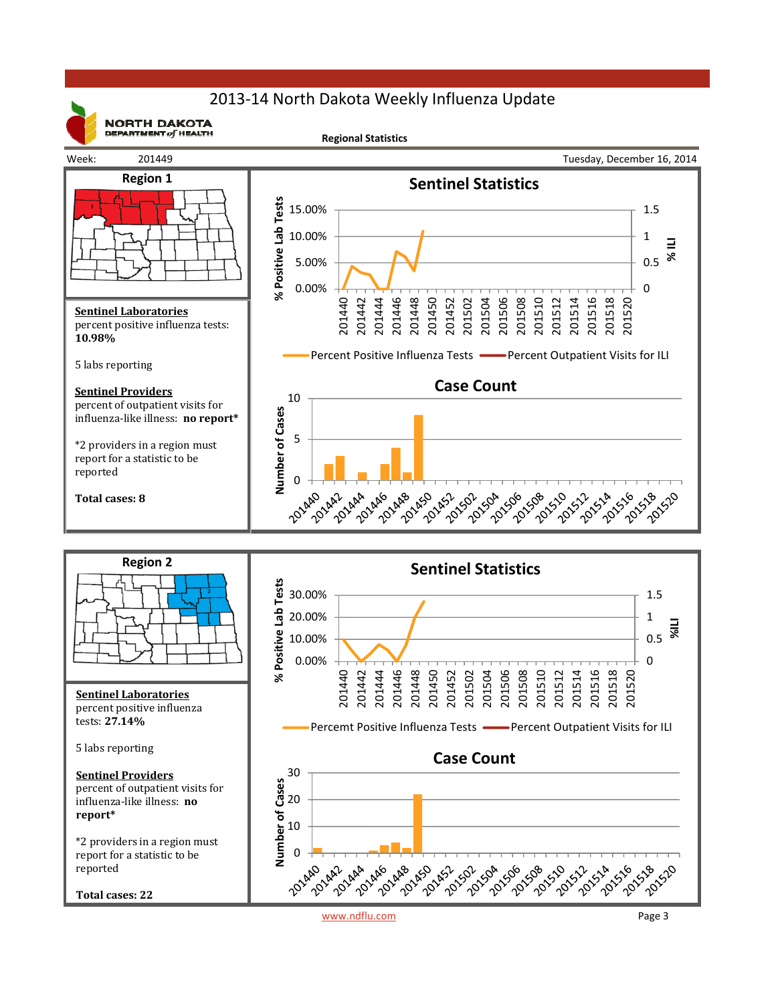## 2013‐14 North Dakota Weekly Influenza Update



**NORTH DAKOTA** DEPARTMENT  $of$  HEALTH

**Regional Statistics**